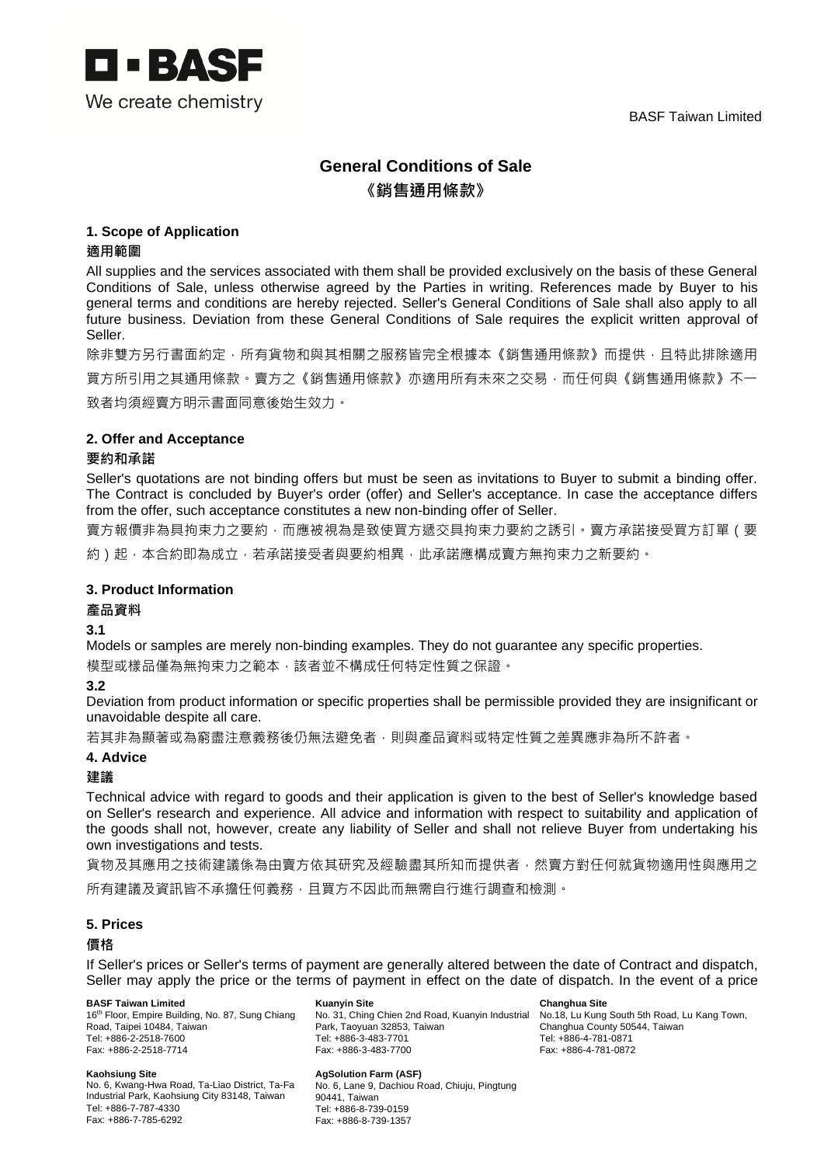

## **General Conditions of Sale 《銷售通用條款》**

## **1. Scope of Application**

#### **適用範圍**

All supplies and the services associated with them shall be provided exclusively on the basis of these General Conditions of Sale, unless otherwise agreed by the Parties in writing. References made by Buyer to his general terms and conditions are hereby rejected. Seller's General Conditions of Sale shall also apply to all future business. Deviation from these General Conditions of Sale requires the explicit written approval of Seller.

除非雙方另行書面約定,所有貨物和與其相關之服務皆完全根據本《銷售通用條款》而提供,且特此排除適用

買方所引用之其通用條款。賣方之《銷售通用條款》亦適用所有未來之交易,而任何與《銷售通用條款》不一 致者均須經賣方明示書面同意後始生效力。

### **2. Offer and Acceptance**

#### **要約和承諾**

Seller's quotations are not binding offers but must be seen as invitations to Buyer to submit a binding offer. The Contract is concluded by Buyer's order (offer) and Seller's acceptance. In case the acceptance differs from the offer, such acceptance constitutes a new non-binding offer of Seller.

賣方報價非為具拘束力之要約,而應被視為是致使買方遞交具拘束力要約之誘引。賣方承諾接受買方訂單(要

約)起,本合約即為成立,若承諾接受者與要約相異,此承諾應構成賣方無拘束力之新要約。

#### **3. Product Information**

#### **產品資料**

**3.1**

Models or samples are merely non-binding examples. They do not guarantee any specific properties.

模型或樣品僅為無拘束力之範本,該者並不構成任何特定性質之保證。

#### **3.2**

Deviation from product information or specific properties shall be permissible provided they are insignificant or unavoidable despite all care.

若其非為顯著或為窮盡注意義務後仍無法避免者,則與產品資料或特定性質之差異應非為所不許者。

#### **4. Advice**

#### **建議**

Technical advice with regard to goods and their application is given to the best of Seller's knowledge based on Seller's research and experience. All advice and information with respect to suitability and application of the goods shall not, however, create any liability of Seller and shall not relieve Buyer from undertaking his own investigations and tests.

貨物及其應用之技術建議係為由賣方依其研究及經驗盡其所知而提供者,然賣方對任何就貨物適用性與應用之

所有建議及資訊皆不承擔任何義務,日買方不因此而無需自行進行調查和檢測。

#### **5. Prices**

#### **價格**

If Seller's prices or Seller's terms of payment are generally altered between the date of Contract and dispatch, Seller may apply the price or the terms of payment in effect on the date of dispatch. In the event of a price

#### **BASF Taiwan Limited**

16<sup>th</sup> Floor, Empire Building, No. 87, Sung Chiang Road, Taipei 10484, Taiwan Tel: +886-2-2518-7600 Fax: +886-2-2518-7714

**Kaohsiung Site**

No. 6, Kwang-Hwa Road, Ta-Liao District, Ta-Fa Industrial Park, Kaohsiung City 83148, Taiwan Tel: +886-7-787-4330 Fax: +886-7-785-6292

#### **Kuanyin Site** No. 31, Ching Chien 2nd Road, Kuanyin Industrial Park, Taoyuan 32853, Taiwan Tel: +886-3-483-7701 Fax: +886-3-483-7700

**AgSolution Farm (ASF)** No. 6, Lane 9, Dachiou Road, Chiuju, Pingtung 90441, Taiwan Tel: +886-8-739-0159 Fax: +886-8-739-1357

**Changhua Site** No.18, Lu Kung South 5th Road, Lu Kang Town, Changhua County 50544, Taiwan Tel: +886-4-781-0871 Fax: +886-4-781-0872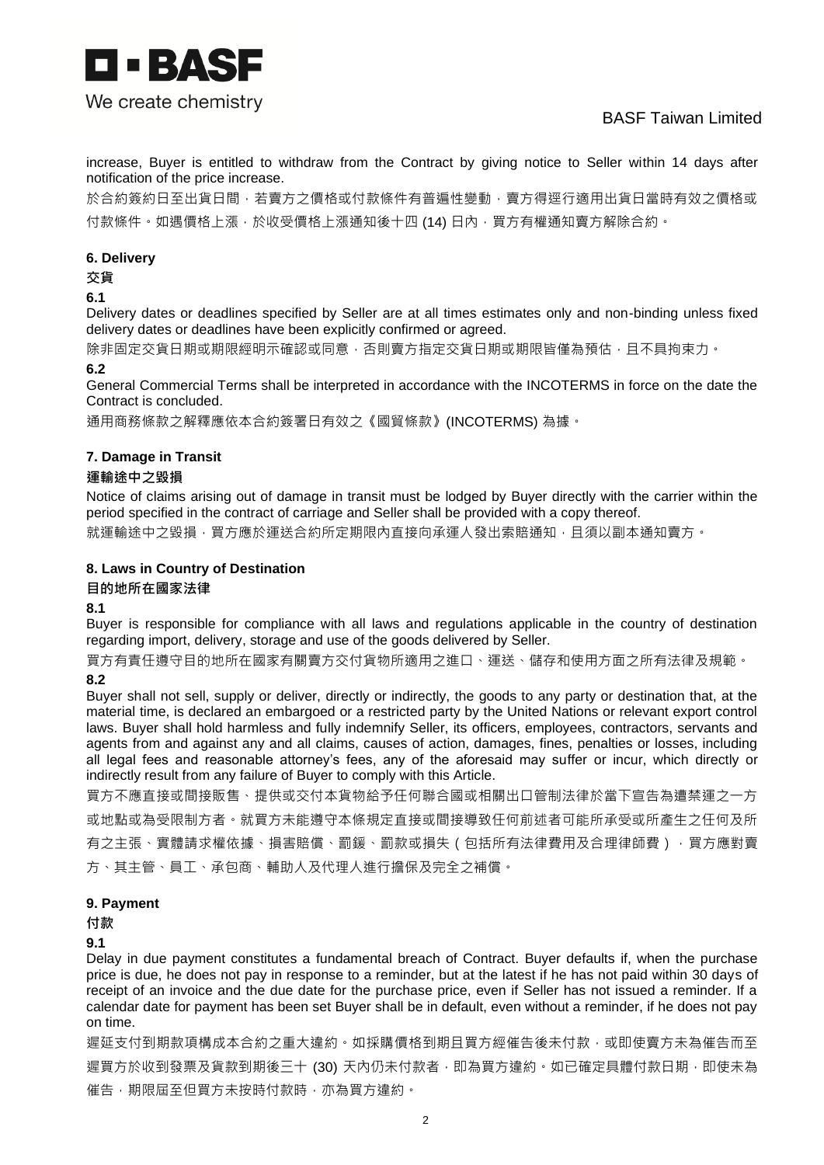

increase, Buyer is entitled to withdraw from the Contract by giving notice to Seller within 14 days after notification of the price increase.

於合約簽約日至出貨日間,若賣方之價格或付款條件有普遍性變動,賣方得逕行適用出貨日當時有效之價格或 付款條件。如遇價格上漲,於收受價格上漲通知後十四 (14) 日内,買方有權通知賣方解除合約。

## **6. Delivery**

#### **交貨**

#### **6.1**

Delivery dates or deadlines specified by Seller are at all times estimates only and non-binding unless fixed delivery dates or deadlines have been explicitly confirmed or agreed.

除非固定交貨日期或期限經明示確認或同意,否則賣方指定交貨日期或期限皆僅為預估,且不具拘束力。

#### **6.2**

General Commercial Terms shall be interpreted in accordance with the INCOTERMS in force on the date the Contract is concluded.

通用商務條款之解釋應依本合約簽署日有效之《國貿條款》(INCOTERMS) 為據。

### **7. Damage in Transit**

#### **運輸途中之毀損**

Notice of claims arising out of damage in transit must be lodged by Buyer directly with the carrier within the period specified in the contract of carriage and Seller shall be provided with a copy thereof.

就運輸途中之毀損,買方應於運送合約所定期限內直接向承運人發出索賠通知,且須以副本通知賣方。

## **8. Laws in Country of Destination**

### **目的地所在國家法律**

#### **8.1**

Buyer is responsible for compliance with all laws and regulations applicable in the country of destination regarding import, delivery, storage and use of the goods delivered by Seller.

買方有責任遵守目的地所在國家有關賣方交付貨物所適用之進口、運送、儲存和使用方面之所有法律及規範。 **8.2**

Buyer shall not sell, supply or deliver, directly or indirectly, the goods to any party or destination that, at the material time, is declared an embargoed or a restricted party by the United Nations or relevant export control laws. Buyer shall hold harmless and fully indemnify Seller, its officers, employees, contractors, servants and agents from and against any and all claims, causes of action, damages, fines, penalties or losses, including all legal fees and reasonable attorney's fees, any of the aforesaid may suffer or incur, which directly or indirectly result from any failure of Buyer to comply with this Article.

買方不應直接或間接販售、提供或交付本貨物給予任何聯合國或相關出口管制法律於當下宣告為遭禁運之一方 或地點或為受限制方者。就買方未能遵守本條規定直接或間接導致任何前述者可能所承受或所產生之任何及所 有之主張、實體請求權依據、損害賠償、罰該、罰款或損失(包括所有法律費用及合理律師費),買方應對賣 方、其主管、員工、承包商、輔助人及代理人進行擔保及完全之補償。

#### **9. Payment**

**付款**

#### **9.1**

Delay in due payment constitutes a fundamental breach of Contract. Buyer defaults if, when the purchase price is due, he does not pay in response to a reminder, but at the latest if he has not paid within 30 days of receipt of an invoice and the due date for the purchase price, even if Seller has not issued a reminder. If a calendar date for payment has been set Buyer shall be in default, even without a reminder, if he does not pay on time.

遲延支付到期款項構成本合約之重大違約。如採購價格到期且買方經催告後未付款,或即使賣方未為催告而至 遲買方於收到發票及貨款到期後三十 (30) 天內仍未付款者, 即為買方違約, 如已確定具體付款日期, 即使未為 催告,期限屆至但買方未按時付款時,亦為買方違約。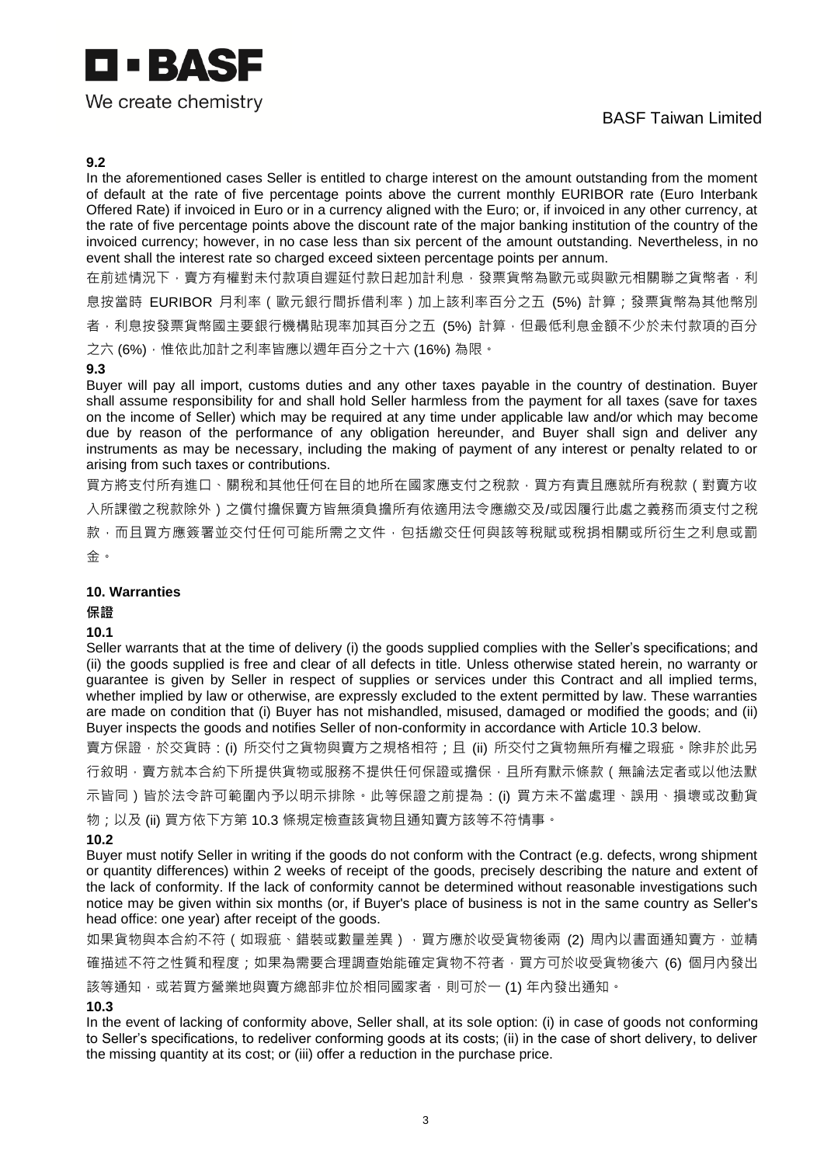

#### **9.2**

In the aforementioned cases Seller is entitled to charge interest on the amount outstanding from the moment of default at the rate of five percentage points above the current monthly EURIBOR rate (Euro Interbank Offered Rate) if invoiced in Euro or in a currency aligned with the Euro; or, if invoiced in any other currency, at the rate of five percentage points above the discount rate of the major banking institution of the country of the invoiced currency; however, in no case less than six percent of the amount outstanding. Nevertheless, in no event shall the interest rate so charged exceed sixteen percentage points per annum.

在前述情況下,賣方有權對未付款項自遲延付款日起加計利息,發票貨幣為歐元或與歐元相關聯之貨幣者,利 息按當時 EURIBOR 月利率 (歐元銀行間拆借利率)加上該利率百分之五 (5%) 計算;發票貨幣為其他幣別 者,利息按發票貨幣國主要銀行機構貼現率加其百分之五 (5%) 計算,但最低利息金額不少於未付款項的百分 之六 (6%),惟依此加計之利率皆應以週年百分之十六 (16%)為限。

#### **9.3**

Buyer will pay all import, customs duties and any other taxes payable in the country of destination. Buyer shall assume responsibility for and shall hold Seller harmless from the payment for all taxes (save for taxes on the income of Seller) which may be required at any time under applicable law and/or which may become due by reason of the performance of any obligation hereunder, and Buyer shall sign and deliver any instruments as may be necessary, including the making of payment of any interest or penalty related to or arising from such taxes or contributions.

買方將支付所有進口、關稅和其他任何在目的地所在國家應支付之稅款,買方有責且應就所有稅款(對賣方收 入所課徵之稅款除外)之償付擔保賣方皆無須負擔所有依適用法令應繳交及/或因履行此處之義務而須支付之稅 款,而且買方應簽署並交付任何可能所需之文件,包括繳交任何與該等稅賦或稅捐相關或所衍生之利息或罰

金。

#### **10. Warranties**

#### **保證**

#### **10.1**

Seller warrants that at the time of delivery (i) the goods supplied complies with the Seller's specifications; and (ii) the goods supplied is free and clear of all defects in title. Unless otherwise stated herein, no warranty or guarantee is given by Seller in respect of supplies or services under this Contract and all implied terms, whether implied by law or otherwise, are expressly excluded to the extent permitted by law. These warranties are made on condition that (i) Buyer has not mishandled, misused, damaged or modified the goods; and (ii) Buyer inspects the goods and notifies Seller of non-conformity in accordance with Article 10.3 below.

賣方保證,於交貨時: (i) 所交付之貨物與賣方之規格相符;且 (ii) 所交付之貨物無所有權之瑕疵。除非於此另

行敘明,賣方就本合約下所提供貨物或服務不提供任何保證或擔保,且所有默示條款(無論法定者或以他法默

示皆同)皆於法令許可範圍內予以明示排除。此等保證之前提為:(i) 買方未不當處理、誤用、損壞或改動貨

物;以及 (ii) 買方依下方第 10.3 條規定檢查該貨物且通知賣方該等不符情事。

#### **10.2**

Buyer must notify Seller in writing if the goods do not conform with the Contract (e.g. defects, wrong shipment or quantity differences) within 2 weeks of receipt of the goods, precisely describing the nature and extent of the lack of conformity. If the lack of conformity cannot be determined without reasonable investigations such notice may be given within six months (or, if Buyer's place of business is not in the same country as Seller's head office: one year) after receipt of the goods.

如果貨物與本合約不符 (如瑕疵、錯裝或數量差異),買方應於收受貨物後兩 (2) 周內以書面通知賣方,並精 確描述不符之性質和程度;如果為需要合理調查始能確定貨物不符者,買方可於收受貨物後六 (6) 個月內發出

該等通知,或若買方營業地與賣方總部非位於相同國家者,則可於一 (1) 年内發出通知。

#### **10.3**

In the event of lacking of conformity above, Seller shall, at its sole option: (i) in case of goods not conforming to Seller's specifications, to redeliver conforming goods at its costs; (ii) in the case of short delivery, to deliver the missing quantity at its cost; or (iii) offer a reduction in the purchase price.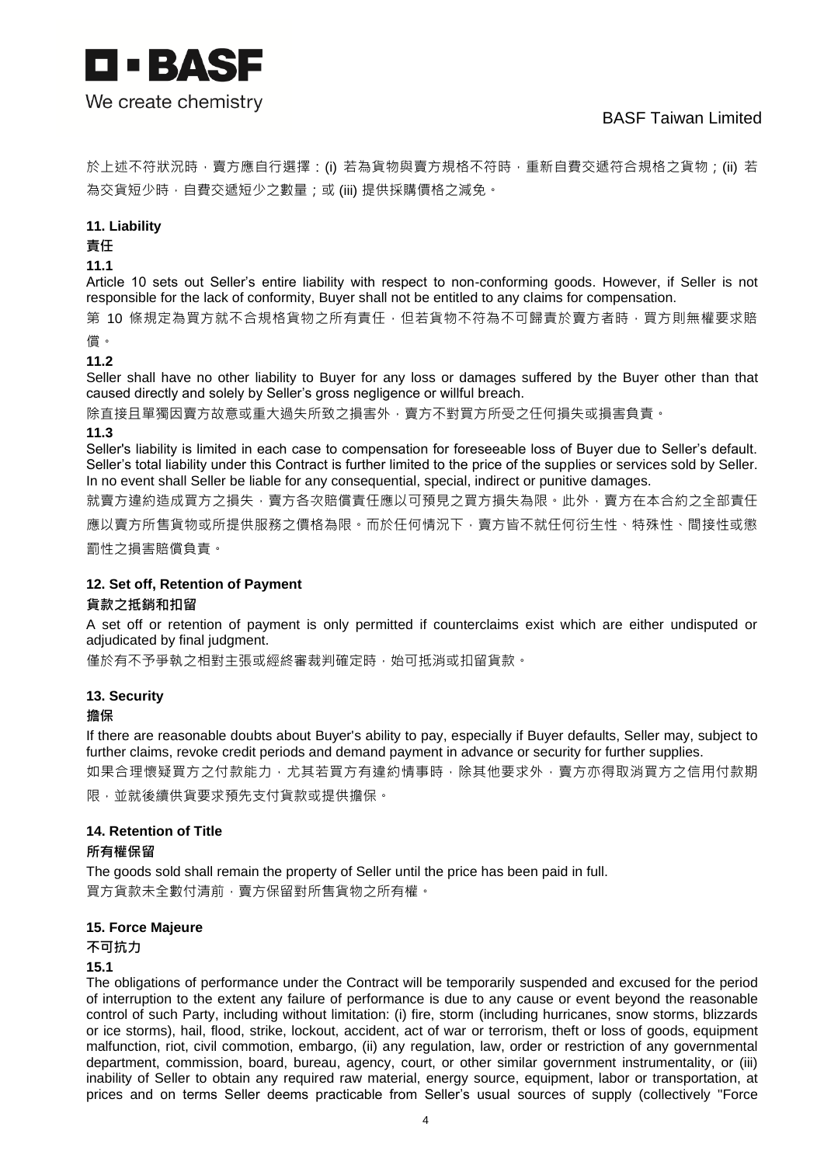

於上述不符狀況時,賣方應自行選擇:(i) 若為貨物與賣方規格不符時,重新自費交遞符合規格之貨物;(ii) 若 為交貨短少時, 自費交遞短少之數量; 或 (iii) 提供採購價格之減免。

#### **11. Liability**

# **責任**

## **11.1**

Article 10 sets out Seller's entire liability with respect to non-conforming goods. However, if Seller is not responsible for the lack of conformity, Buyer shall not be entitled to any claims for compensation.

第 10 條規定為買方就不合規格貨物之所有責任,但若貨物不符為不可歸責於賣方者時,買方則無權要求賠 償。

**11.2**

Seller shall have no other liability to Buyer for any loss or damages suffered by the Buyer other than that caused directly and solely by Seller's gross negligence or willful breach.

除直接且單獨因賣方故意或重大過失所致之損害外,賣方不對買方所受之任何損失或損害負責。

#### **11.3**

Seller's liability is limited in each case to compensation for foreseeable loss of Buyer due to Seller's default. Seller's total liability under this Contract is further limited to the price of the supplies or services sold by Seller. In no event shall Seller be liable for any consequential, special, indirect or punitive damages.

就賣方違約造成買方之損失,賣方各次賠償責任應以可預見之買方損失為限。此外,賣方在本合約之全部責任

應以賣方所售貨物或所提供服務之價格為限。而於任何情況下,賣方皆不就任何衍生性、特殊性、間接性或懲 罰性之損害賠償負責。

#### **12. Set off, Retention of Payment**

#### **貨款之抵銷和扣留**

A set off or retention of payment is only permitted if counterclaims exist which are either undisputed or adjudicated by final judgment.

僅於有不予爭執之相對主張或經終審裁判確定時,始可抵消或扣留貨款。

#### **13. Security**

#### **擔保**

If there are reasonable doubts about Buyer's ability to pay, especially if Buyer defaults, Seller may, subject to further claims, revoke credit periods and demand payment in advance or security for further supplies.

如果合理懷疑買方之付款能力,尤其若買方有違約情事時,除其他要求外,賣方亦得取消買方之信用付款期 限,並就後續供貨要求預先支付貨款或提供擔保。

## **14. Retention of Title**

#### **所有權保留**

The goods sold shall remain the property of Seller until the price has been paid in full. 買方貨款未全數付清前,賣方保留對所售貨物之所有權。

#### **15. Force Majeure**

#### **不可抗力**

#### **15.1**

The obligations of performance under the Contract will be temporarily suspended and excused for the period of interruption to the extent any failure of performance is due to any cause or event beyond the reasonable control of such Party, including without limitation: (i) fire, storm (including hurricanes, snow storms, blizzards or ice storms), hail, flood, strike, lockout, accident, act of war or terrorism, theft or loss of goods, equipment malfunction, riot, civil commotion, embargo, (ii) any regulation, law, order or restriction of any governmental department, commission, board, bureau, agency, court, or other similar government instrumentality, or (iii) inability of Seller to obtain any required raw material, energy source, equipment, labor or transportation, at prices and on terms Seller deems practicable from Seller's usual sources of supply (collectively "Force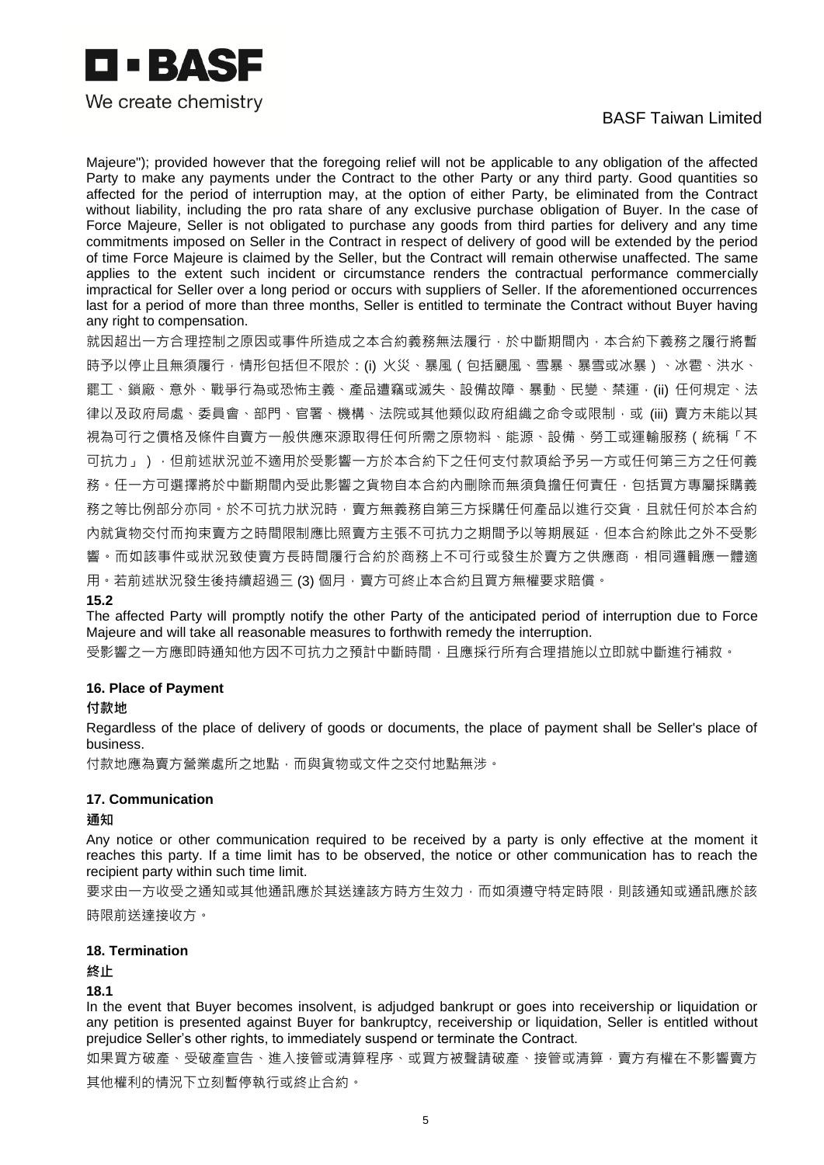

Majeure"); provided however that the foregoing relief will not be applicable to any obligation of the affected Party to make any payments under the Contract to the other Party or any third party. Good quantities so affected for the period of interruption may, at the option of either Party, be eliminated from the Contract without liability, including the pro rata share of any exclusive purchase obligation of Buyer. In the case of Force Majeure, Seller is not obligated to purchase any goods from third parties for delivery and any time commitments imposed on Seller in the Contract in respect of delivery of good will be extended by the period of time Force Majeure is claimed by the Seller, but the Contract will remain otherwise unaffected. The same applies to the extent such incident or circumstance renders the contractual performance commercially impractical for Seller over a long period or occurs with suppliers of Seller. If the aforementioned occurrences last for a period of more than three months, Seller is entitled to terminate the Contract without Buyer having any right to compensation.

就因超出一方合理控制之原因或事件所造成之本合約義務無法履行,於中斷期間內,本合約下義務之履行將暫 時予以停止且無須履行,情形包括但不限於: (i) 火災、暴風 ( 包括颶風、雪暴、暴雪或冰暴 ) 、冰雹、洪水、 罷工、鎖廠、意外、戰爭行為或恐怖主義、產品遭竊或滅失、設備故障、暴動、民變、禁運,(ii) 任何規定、法 律以及政府局處、委員會、部門、官署、機構、法院或其他類似政府組織之命令或限制,或 (iii) 賣方未能以其 視為可行之價格及條件自賣方一般供應來源取得任何所需之原物料、能源、設備、勞工或運輸服務(統稱「不 可抗力」),但前述狀況並不適用於受影響一方於本合約下之任何支付款項給予另一方或任何第三方之任何義 務。任一方可選擇將於中斷期間內受此影響之貨物自本合約內刪除而無須負擔任何責任,包括買方專屬採購義 務之等比例部分亦同。於不可抗力狀況時,賣方無義務自第三方採購任何產品以進行交貨,且就任何於本合約 内就貨物交付而拘束賣方之時間限制應比照賣方主張不可抗力之期間予以等期展延,但本合約除此之外不受影 響。而如該事件或狀況致使賣方長時間履行合約於商務上不可行或發生於賣方之供應商,相同邏輯應一體適 用。若前述狀況發生後持續超過三(3)個月,賣方可終止本合約且買方無權要求賠償。

**15.2**

The affected Party will promptly notify the other Party of the anticipated period of interruption due to Force Majeure and will take all reasonable measures to forthwith remedy the interruption.

受影響之一方應即時通知他方因不可抗力之預計中斷時間,且應採行所有合理措施以立即就中斷進行補救。

## **16. Place of Payment**

#### **付款地**

Regardless of the place of delivery of goods or documents, the place of payment shall be Seller's place of business.

付款地應為賣方營業處所之地點,而與貨物或文件之交付地點無涉。

#### **17. Communication**

**通知**

Any notice or other communication required to be received by a party is only effective at the moment it reaches this party. If a time limit has to be observed, the notice or other communication has to reach the recipient party within such time limit.

要求由一方收受之通知或其他通訊應於其送達該方時方生效力,而如須遵守特定時限,則該通知或通訊應於該

時限前送達接收方。

#### **18. Termination**

**終止**

**18.1**

In the event that Buyer becomes insolvent, is adjudged bankrupt or goes into receivership or liquidation or any petition is presented against Buyer for bankruptcy, receivership or liquidation, Seller is entitled without prejudice Seller's other rights, to immediately suspend or terminate the Contract.

如果買方破產、受破產宣告、進入接管或清算程序、或買方被聲請破產、接管或清算,賣方有權在不影響賣方 其他權利的情況下立刻暫停執行或終止合約。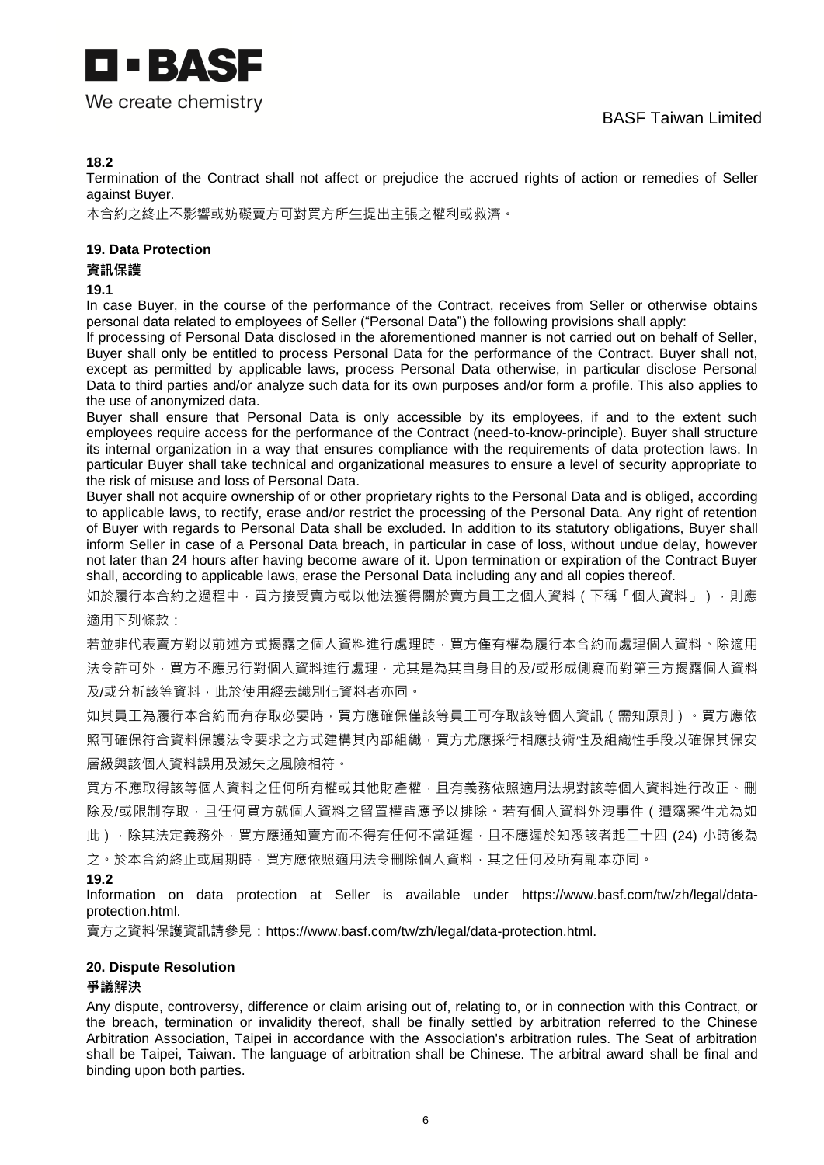

## We create chemistry

#### **18.2**

Termination of the Contract shall not affect or prejudice the accrued rights of action or remedies of Seller against Buyer.

本合約之終止不影響或妨礙賣方可對買方所生提出主張之權利或救濟。

### **19. Data Protection**

#### **資訊保護**

#### **19.1**

In case Buyer, in the course of the performance of the Contract, receives from Seller or otherwise obtains personal data related to employees of Seller ("Personal Data") the following provisions shall apply:

If processing of Personal Data disclosed in the aforementioned manner is not carried out on behalf of Seller, Buyer shall only be entitled to process Personal Data for the performance of the Contract. Buyer shall not, except as permitted by applicable laws, process Personal Data otherwise, in particular disclose Personal Data to third parties and/or analyze such data for its own purposes and/or form a profile. This also applies to the use of anonymized data.

Buyer shall ensure that Personal Data is only accessible by its employees, if and to the extent such employees require access for the performance of the Contract (need-to-know-principle). Buyer shall structure its internal organization in a way that ensures compliance with the requirements of data protection laws. In particular Buyer shall take technical and organizational measures to ensure a level of security appropriate to the risk of misuse and loss of Personal Data.

Buyer shall not acquire ownership of or other proprietary rights to the Personal Data and is obliged, according to applicable laws, to rectify, erase and/or restrict the processing of the Personal Data. Any right of retention of Buyer with regards to Personal Data shall be excluded. In addition to its statutory obligations, Buyer shall inform Seller in case of a Personal Data breach, in particular in case of loss, without undue delay, however not later than 24 hours after having become aware of it. Upon termination or expiration of the Contract Buyer shall, according to applicable laws, erase the Personal Data including any and all copies thereof.

如於履行本合約之過程中,買方接受賣方或以他法獲得關於賣方員工之個人資料(下稱「個人資料」),則應 適用下列條款:

若並非代表賣方對以前述方式揭露之個人資料進行處理時,買方僅有權為履行本合約而處理個人資料。除適用 法令許可外,買方不應另行對個人資料進行處理,尤其是為其自身目的及/或形成側寫而對第三方揭露個人資料 及/或分析該等資料,此於使用經去識別化資料者亦同。

如其員工為履行本合約而有存取必要時,買方應確保僅該等員工可存取該等個人資訊 (需知原則) ·買方應依 照可確保符合資料保護法令要求之方式建構其內部組織,買方尤應採行相應技術性及組織性手段以確保其保安 層級與該個人資料誤用及滅失之風險相符。

買方不應取得該等個人資料之任何所有權或其他財產權,且有義務依照適用法規對該等個人資料進行改正、刪 除及/或限制存取,日任何買方就個人資料之留置權皆應予以排除。若有個人資料外洩事件(遭竊案件尤為如 此),除其法定義務外,買方應通知賣方而不得有任何不當延遲,且不應遲於知悉該者起二十四 (24) 小時後為 之。於本合約終止或屆期時,可實施依照適用法令刪除個人資料,其之任何及所有副本亦同。

#### **19.2**

Information on data protection at Seller is available under [https://www.basf.com/tw/zh/legal/data](https://www.basf.com/tw/zh/legal/data-protection.html)[protection.html.](https://www.basf.com/tw/zh/legal/data-protection.html)

賣方之資料保護資訊請參見:[https://www.basf.com/tw/zh/legal/data-protection.html.](https://www.basf.com/tw/zh/legal/data-protection.html)

#### **20. Dispute Resolution**

#### **爭議解決**

Any dispute, controversy, difference or claim arising out of, relating to, or in connection with this Contract, or the breach, termination or invalidity thereof, shall be finally settled by arbitration referred to the Chinese Arbitration Association, Taipei in accordance with the Association's arbitration rules. The Seat of arbitration shall be Taipei, Taiwan. The language of arbitration shall be Chinese. The arbitral award shall be final and binding upon both parties.